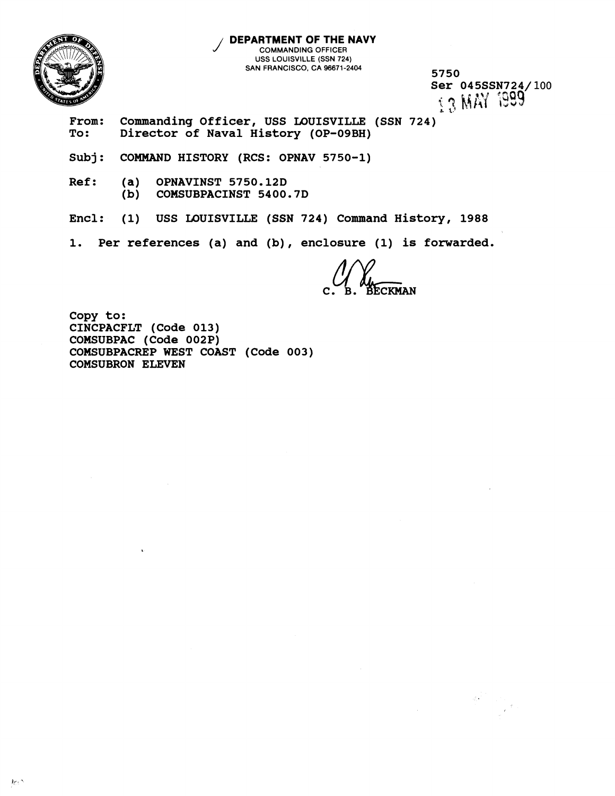

**DEPARTMENT OF THE NAVY COMMANDING OFFICER USS LOUISVILLE (SSN 724) SAN FRANCISCO. CA 96671-2404 5750** 

**Ser 045SSN724/100**<br>iq MAY 1999

From: Commanding Officer, USS LOUISVILLE (SSN 724)<br>To: Director of Naval History (OP-09BH) **To: Director of Naval History (OP-09BH)** 

**Subj: COMMAND HISTORY (RCS: OPNAV 5750-1)** 

**Ref: (a) OPNAVINST 5750.12D (b) COMSUBPACINST 5400.7D** 

**Encl: (1) USS LOUISVILLE (SSN 724) Command History, 1988** 

**1. Per references (a) and (b)** , **enclosure (1) is forwarded.** 

**ECKMAN** 

**Copy to: CINCPACFLT (Code 013) COMSUBPAC (Code 002P) COMSUBPACREP WEST COAST (Code 003) COMSUBRON ELEVEN**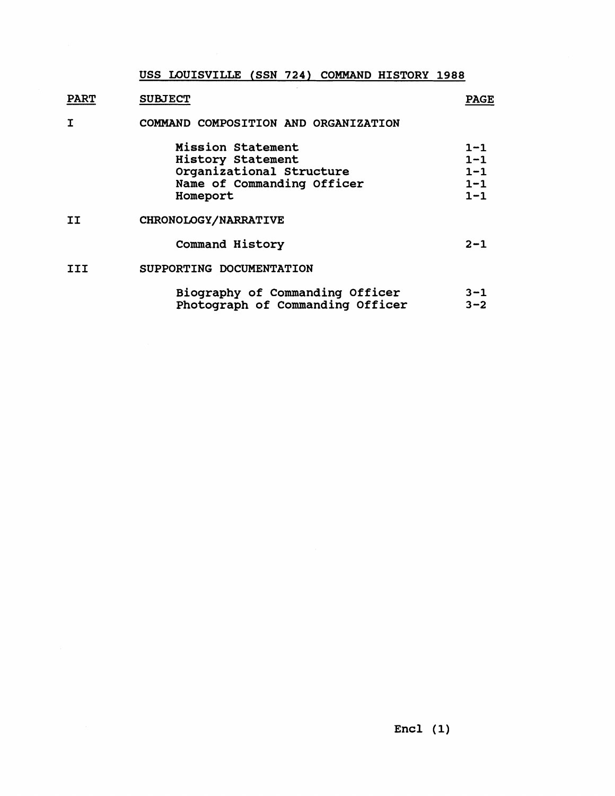## **USS LOUISVILLE (SSN 724) COMMAND HISTORY 1988**

**PART SUBJECT PAGE** 

## **I COMMAND COMPOSITION AND ORGANIZATION**

|           | Mission Statement<br>History Statement<br>Organizational Structure<br>Name of Commanding Officer<br>Homeport | $1 - 1$<br>$1 - 1$<br>$1 - 1$<br>$1 - 1$<br>$1 - 1$ |
|-----------|--------------------------------------------------------------------------------------------------------------|-----------------------------------------------------|
| <b>II</b> | CHRONOLOGY/NARRATIVE                                                                                         |                                                     |
|           | Command History                                                                                              | $2 - 1$                                             |
| TTT       | SUPPORTING DOCUMENTATION                                                                                     |                                                     |
|           | Biography of Commanding Officer<br>Photograph of Commanding Officer                                          | $3 - 1$<br>$3 - 2$                                  |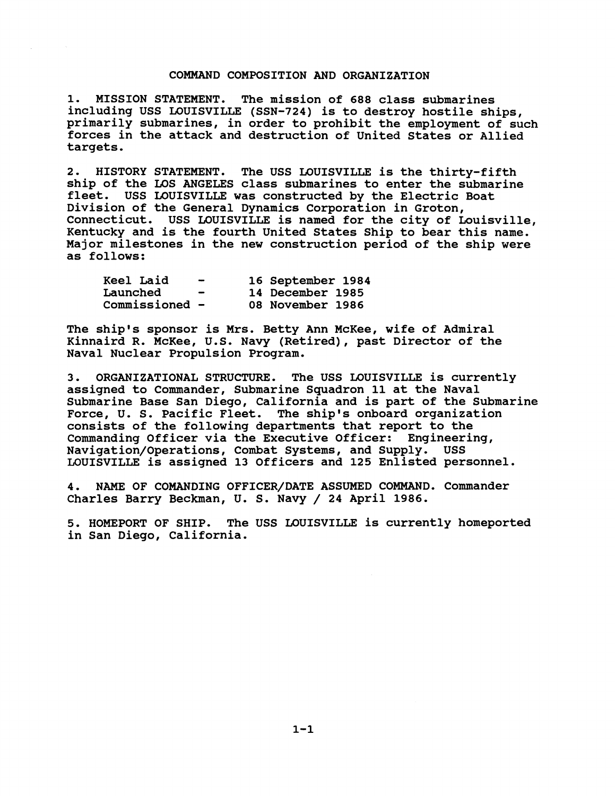## **COMMAND COMPOSITION AND ORGANIZATION**

**1. MISSION STATEMENT. The mission of 688 class submarines including USS LOUISVILLE (SSN-724) is to destroy hostile ships, primarily submarines, in order to prohibit the employment of such forces in the attack and destruction of United States or Allied targets.** 

**2. HISTORY STATEMENT. The USS LOUISVILLE is the thirty-fifth ship of the LOS ANGELES class submarines to enter the submarine fleet. USS LOUISVILLE was constructed by the Electric Boat Division of the General Dynamics Corporation in Groton, Connecticut. USS LOUISVILLE is named for the city of Louisville, Kentucky and is the fourth United States Ship to bear this name. Major milestones in the new construction period of the ship were as follows:** 

| Keel Laid      | $\overline{\phantom{0}}$ | 16 September 1984 |
|----------------|--------------------------|-------------------|
| Launched       | $\blacksquare$           | 14 December 1985  |
| Commissioned - |                          | 08 November 1986  |

**The ship's sponsor is Mrs. Betty Ann McKee, wife of Admiral Kinnaird R. McKee, U.S. Navy (Retired), past Director of the Naval Nuclear Propulsion Program.** 

**3. ORGANIZATIONAL STRUCTURE. The USS LOUISVILLE is currently assigned to Commander, Submarine Squadron 11 at the Naval Submarine Base San Diego, California and is part of the Submarine Force, U. S. Pacific Fleet. The ship's onboard organization consists of the following departments that report to the Commanding Officer via the Executive Officer: Engineering, Navigation/Operations, Combat Systems, and Supply. USS LOUISVILLE is assigned 13 Officers and 125 Enlisted personnel.** 

**4. NAME OF COMANDING OFFICER/DATE ASSUMED COMMAND. Commander Charles Barry Beckman, U. S. Navy** / **24 April 1986.** 

**5. HOMEPORT OF SHIP. The USS LOUISVILLE is currently homeported in San Diego, California.**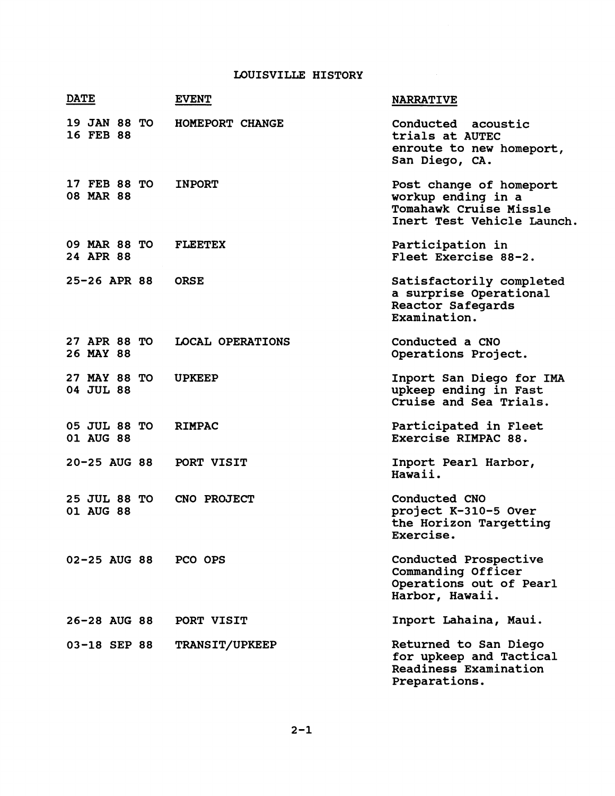## **LOUISVILLE HISTORY**

| <b>DATE</b>               | <b>EVENT</b>     | <b>NARRATIVE</b>                                                                                      |
|---------------------------|------------------|-------------------------------------------------------------------------------------------------------|
| 19 JAN 88 TO<br>16 FEB 88 | HOMEPORT CHANGE  | Conducted acoustic<br>trials at AUTEC<br>enroute to new homeport,<br>San Diego, CA.                   |
| 17 FEB 88 TO<br>08 MAR 88 | <b>INPORT</b>    | Post change of homeport<br>workup ending in a<br>Tomahawk Cruise Missle<br>Inert Test Vehicle Launch. |
| 09 MAR 88 TO<br>24 APR 88 | <b>FLEETEX</b>   | Participation in<br>Fleet Exercise 88-2.                                                              |
| 25-26 APR 88              | <b>ORSE</b>      | Satisfactorily completed<br>a surprise Operational<br><b>Reactor Safegards</b><br>Examination.        |
| 27 APR 88 TO<br>26 MAY 88 | LOCAL OPERATIONS | Conducted a CNO<br>Operations Project.                                                                |
| 27 MAY 88 TO<br>04 JUL 88 | <b>UPKEEP</b>    | Inport San Diego for IMA<br>upkeep ending in Fast<br>Cruise and Sea Trials.                           |
| 05 JUL 88 TO<br>01 AUG 88 | <b>RIMPAC</b>    | Participated in Fleet<br>Exercise RIMPAC 88.                                                          |
| $20 - 25$ AUG 88          | PORT VISIT       | Inport Pearl Harbor,<br>Hawaii.                                                                       |
| 25 JUL 88 TO<br>01 AUG 88 | CNO PROJECT      | Conducted CNO<br>project K-310-5 Over<br>the Horizon Targetting<br>Exercise.                          |
| 02-25 AUG 88              | PCO OPS          | Conducted Prospective<br>Commanding Officer<br>Operations out of Pearl<br>Harbor, Hawaii.             |
| 26-28 AUG 88              | PORT VISIT       | Inport Lahaina, Maui.                                                                                 |
| 03-18 SEP 88              | TRANSIT/UPKEEP   | Returned to San Diego<br>for upkeep and Tactical<br>Readiness Examination<br>Preparations.            |